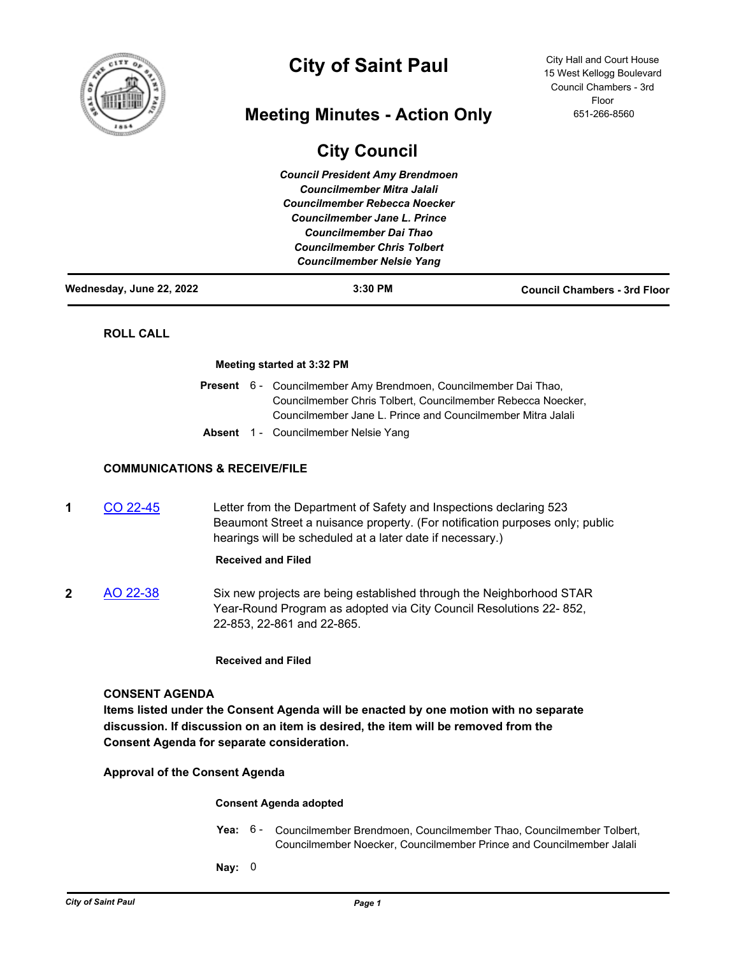

# **City of Saint Paul**

# **Meeting Minutes - Action Only**

City Hall and Court House 15 West Kellogg Boulevard Council Chambers - 3rd Floor 651-266-8560

# **City Council**

*Council President Amy Brendmoen Councilmember Mitra Jalali Councilmember Rebecca Noecker Councilmember Jane L. Prince Councilmember Dai Thao Councilmember Chris Tolbert Councilmember Nelsie Yang*

**Wednesday, June 22, 2022 3:30 PM Council Chambers - 3rd Floor**

## **ROLL CALL**

## **Meeting started at 3:32 PM**

|  | Present 6 - Councilmember Amy Brendmoen, Councilmember Dai Thao, |
|--|------------------------------------------------------------------|
|  | Councilmember Chris Tolbert, Councilmember Rebecca Noecker,      |
|  | Councilmember Jane L. Prince and Councilmember Mitra Jalali      |
|  | $\blacksquare$                                                   |

**Absent** 1 - Councilmember Nelsie Yang

## **COMMUNICATIONS & RECEIVE/FILE**

**1** [CO 22-45](http://stpaul.legistar.com/gateway.aspx?m=l&id=/matter.aspx?key=42059) Letter from the Department of Safety and Inspections declaring 523 Beaumont Street a nuisance property. (For notification purposes only; public hearings will be scheduled at a later date if necessary.)

## **Received and Filed**

**2** [AO 22-38](http://stpaul.legistar.com/gateway.aspx?m=l&id=/matter.aspx?key=42027) Six new projects are being established through the Neighborhood STAR Year-Round Program as adopted via City Council Resolutions 22- 852, 22-853, 22-861 and 22-865.

## **Received and Filed**

## **CONSENT AGENDA**

**Items listed under the Consent Agenda will be enacted by one motion with no separate discussion. If discussion on an item is desired, the item will be removed from the Consent Agenda for separate consideration.**

**Approval of the Consent Agenda**

## **Consent Agenda adopted**

- Yea: 6 Councilmember Brendmoen, Councilmember Thao, Councilmember Tolbert, Councilmember Noecker, Councilmember Prince and Councilmember Jalali
- **Nay:** 0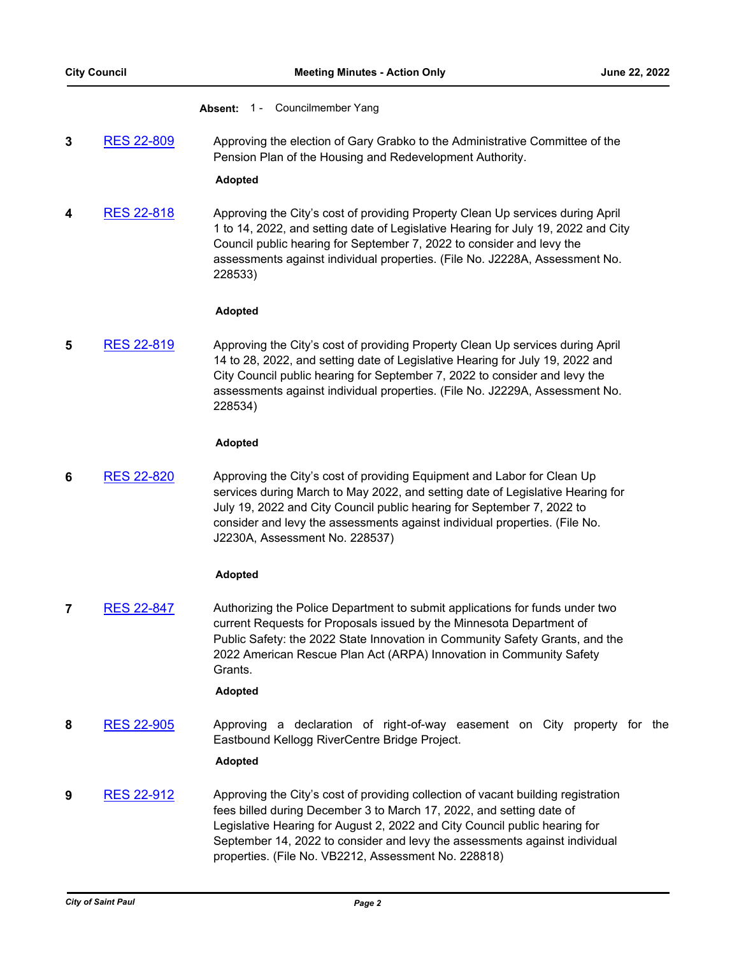**Absent:** 1 - Councilmember Yang

**3** [RES 22-809](http://stpaul.legistar.com/gateway.aspx?m=l&id=/matter.aspx?key=41869) Approving the election of Gary Grabko to the Administrative Committee of the Pension Plan of the Housing and Redevelopment Authority.

# **Adopted**

**4** [RES 22-818](http://stpaul.legistar.com/gateway.aspx?m=l&id=/matter.aspx?key=41885) Approving the City's cost of providing Property Clean Up services during April 1 to 14, 2022, and setting date of Legislative Hearing for July 19, 2022 and City Council public hearing for September 7, 2022 to consider and levy the assessments against individual properties. (File No. J2228A, Assessment No. 228533)

## **Adopted**

**5** [RES 22-819](http://stpaul.legistar.com/gateway.aspx?m=l&id=/matter.aspx?key=41886) Approving the City's cost of providing Property Clean Up services during April 14 to 28, 2022, and setting date of Legislative Hearing for July 19, 2022 and City Council public hearing for September 7, 2022 to consider and levy the assessments against individual properties. (File No. J2229A, Assessment No. 228534)

## **Adopted**

**6** [RES 22-820](http://stpaul.legistar.com/gateway.aspx?m=l&id=/matter.aspx?key=41887) Approving the City's cost of providing Equipment and Labor for Clean Up services during March to May 2022, and setting date of Legislative Hearing for July 19, 2022 and City Council public hearing for September 7, 2022 to consider and levy the assessments against individual properties. (File No. J2230A, Assessment No. 228537)

# **Adopted**

**7** [RES 22-847](http://stpaul.legistar.com/gateway.aspx?m=l&id=/matter.aspx?key=41920) Authorizing the Police Department to submit applications for funds under two current Requests for Proposals issued by the Minnesota Department of Public Safety: the 2022 State Innovation in Community Safety Grants, and the 2022 American Rescue Plan Act (ARPA) Innovation in Community Safety Grants.

## **Adopted**

**8** [RES 22-905](http://stpaul.legistar.com/gateway.aspx?m=l&id=/matter.aspx?key=41995) Approving a declaration of right-of-way easement on City property for the Eastbound Kellogg RiverCentre Bridge Project.

# **Adopted**

**9** [RES 22-912](http://stpaul.legistar.com/gateway.aspx?m=l&id=/matter.aspx?key=42006) Approving the City's cost of providing collection of vacant building registration fees billed during December 3 to March 17, 2022, and setting date of Legislative Hearing for August 2, 2022 and City Council public hearing for September 14, 2022 to consider and levy the assessments against individual properties. (File No. VB2212, Assessment No. 228818)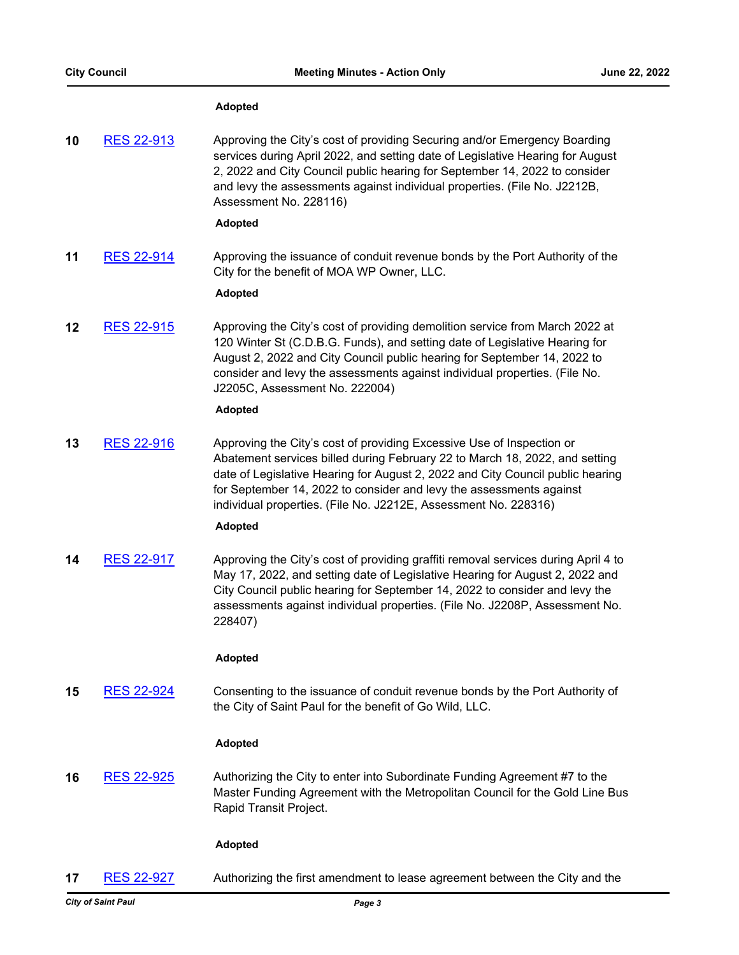# **Adopted**

| 10 | <b>RES 22-913</b> | Approving the City's cost of providing Securing and/or Emergency Boarding<br>services during April 2022, and setting date of Legislative Hearing for August<br>2, 2022 and City Council public hearing for September 14, 2022 to consider<br>and levy the assessments against individual properties. (File No. J2212B,<br>Assessment No. 228116)                                 |
|----|-------------------|----------------------------------------------------------------------------------------------------------------------------------------------------------------------------------------------------------------------------------------------------------------------------------------------------------------------------------------------------------------------------------|
|    |                   | <b>Adopted</b>                                                                                                                                                                                                                                                                                                                                                                   |
| 11 | <b>RES 22-914</b> | Approving the issuance of conduit revenue bonds by the Port Authority of the<br>City for the benefit of MOA WP Owner, LLC.<br><b>Adopted</b>                                                                                                                                                                                                                                     |
| 12 | <b>RES 22-915</b> | Approving the City's cost of providing demolition service from March 2022 at<br>120 Winter St (C.D.B.G. Funds), and setting date of Legislative Hearing for<br>August 2, 2022 and City Council public hearing for September 14, 2022 to<br>consider and levy the assessments against individual properties. (File No.<br>J2205C, Assessment No. 222004)                          |
|    |                   | <b>Adopted</b>                                                                                                                                                                                                                                                                                                                                                                   |
| 13 | <b>RES 22-916</b> | Approving the City's cost of providing Excessive Use of Inspection or<br>Abatement services billed during February 22 to March 18, 2022, and setting<br>date of Legislative Hearing for August 2, 2022 and City Council public hearing<br>for September 14, 2022 to consider and levy the assessments against<br>individual properties. (File No. J2212E, Assessment No. 228316) |
|    |                   | <b>Adopted</b>                                                                                                                                                                                                                                                                                                                                                                   |
| 14 | <b>RES 22-917</b> | Approving the City's cost of providing graffiti removal services during April 4 to<br>May 17, 2022, and setting date of Legislative Hearing for August 2, 2022 and<br>City Council public hearing for September 14, 2022 to consider and levy the<br>assessments against individual properties. (File No. J2208P, Assessment No.<br>228407)                                      |
|    |                   | <b>Adopted</b>                                                                                                                                                                                                                                                                                                                                                                   |
| 15 | <b>RES 22-924</b> | Consenting to the issuance of conduit revenue bonds by the Port Authority of<br>the City of Saint Paul for the benefit of Go Wild, LLC.                                                                                                                                                                                                                                          |
|    |                   | <b>Adopted</b>                                                                                                                                                                                                                                                                                                                                                                   |
| 16 | <b>RES 22-925</b> | Authorizing the City to enter into Subordinate Funding Agreement #7 to the<br>Master Funding Agreement with the Metropolitan Council for the Gold Line Bus<br>Rapid Transit Project.                                                                                                                                                                                             |
|    |                   | <b>Adopted</b>                                                                                                                                                                                                                                                                                                                                                                   |
| 17 | <b>RES 22-927</b> | Authorizing the first amendment to lease agreement between the City and the                                                                                                                                                                                                                                                                                                      |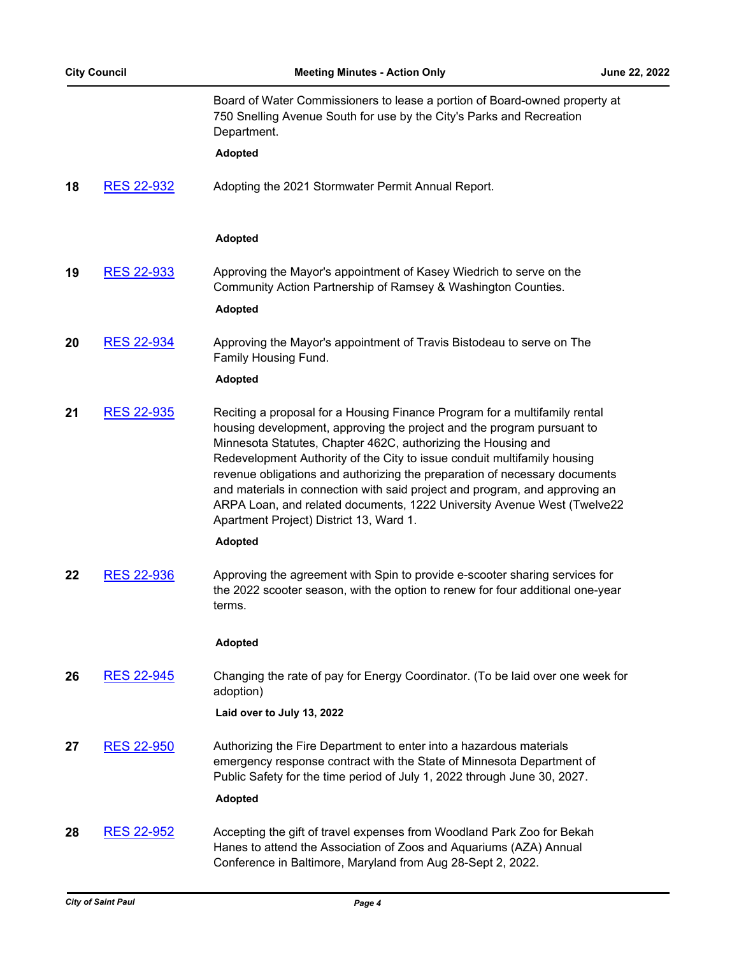Board of Water Commissioners to lease a portion of Board-owned property at 750 Snelling Avenue South for use by the City's Parks and Recreation Department. **Adopted 18** [RES 22-932](http://stpaul.legistar.com/gateway.aspx?m=l&id=/matter.aspx?key=42032) Adopting the 2021 Stormwater Permit Annual Report. **Adopted 19** [RES 22-933](http://stpaul.legistar.com/gateway.aspx?m=l&id=/matter.aspx?key=42033) Approving the Mayor's appointment of Kasey Wiedrich to serve on the Community Action Partnership of Ramsey & Washington Counties. **Adopted 20** [RES 22-934](http://stpaul.legistar.com/gateway.aspx?m=l&id=/matter.aspx?key=42034) Approving the Mayor's appointment of Travis Bistodeau to serve on The Family Housing Fund. **Adopted 21** [RES 22-935](http://stpaul.legistar.com/gateway.aspx?m=l&id=/matter.aspx?key=42035) Reciting a proposal for a Housing Finance Program for a multifamily rental housing development, approving the project and the program pursuant to Minnesota Statutes, Chapter 462C, authorizing the Housing and Redevelopment Authority of the City to issue conduit multifamily housing revenue obligations and authorizing the preparation of necessary documents and materials in connection with said project and program, and approving an ARPA Loan, and related documents, 1222 University Avenue West (Twelve22 Apartment Project) District 13, Ward 1. **Adopted 22** [RES 22-936](http://stpaul.legistar.com/gateway.aspx?m=l&id=/matter.aspx?key=42036) Approving the agreement with Spin to provide e-scooter sharing services for the 2022 scooter season, with the option to renew for four additional one-year terms. **Adopted 26** [RES 22-945](http://stpaul.legistar.com/gateway.aspx?m=l&id=/matter.aspx?key=42046) Changing the rate of pay for Energy Coordinator. (To be laid over one week for adoption) **Laid over to July 13, 2022 27** [RES 22-950](http://stpaul.legistar.com/gateway.aspx?m=l&id=/matter.aspx?key=42052) Authorizing the Fire Department to enter into a hazardous materials emergency response contract with the State of Minnesota Department of Public Safety for the time period of July 1, 2022 through June 30, 2027. **Adopted 28** [RES 22-952](http://stpaul.legistar.com/gateway.aspx?m=l&id=/matter.aspx?key=42055) Accepting the gift of travel expenses from Woodland Park Zoo for Bekah Hanes to attend the Association of Zoos and Aquariums (AZA) Annual Conference in Baltimore, Maryland from Aug 28-Sept 2, 2022.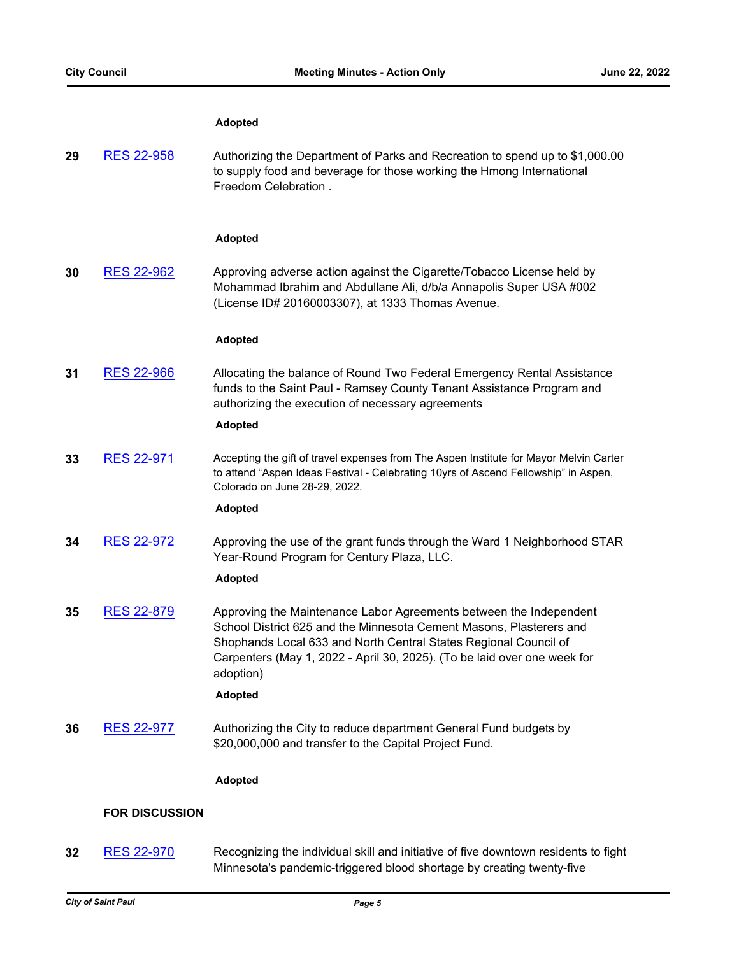#### **Adopted**

| 29 | <b>RES 22-958</b> | Authorizing the Department of Parks and Recreation to spend up to \$1,000.00 |
|----|-------------------|------------------------------------------------------------------------------|
|    |                   | to supply food and beverage for those working the Hmong International        |
|    |                   | Freedom Celebration.                                                         |

#### **Adopted**

**30** [RES 22-962](http://stpaul.legistar.com/gateway.aspx?m=l&id=/matter.aspx?key=42065) Approving adverse action against the Cigarette/Tobacco License held by Mohammad Ibrahim and Abdullane Ali, d/b/a Annapolis Super USA #002 (License ID# 20160003307), at 1333 Thomas Avenue.

#### **Adopted**

**31** [RES 22-966](http://stpaul.legistar.com/gateway.aspx?m=l&id=/matter.aspx?key=42070) Allocating the balance of Round Two Federal Emergency Rental Assistance funds to the Saint Paul - Ramsey County Tenant Assistance Program and authorizing the execution of necessary agreements

#### **Adopted**

**33** [RES 22-971](http://stpaul.legistar.com/gateway.aspx?m=l&id=/matter.aspx?key=42076) Accepting the gift of travel expenses from The Aspen Institute for Mayor Melvin Carter to attend "Aspen Ideas Festival - Celebrating 10yrs of Ascend Fellowship" in Aspen, Colorado on June 28-29, 2022.

#### **Adopted**

**34** [RES 22-972](http://stpaul.legistar.com/gateway.aspx?m=l&id=/matter.aspx?key=42081) Approving the use of the grant funds through the Ward 1 Neighborhood STAR Year-Round Program for Century Plaza, LLC.

#### **Adopted**

**35** [RES 22-879](http://stpaul.legistar.com/gateway.aspx?m=l&id=/matter.aspx?key=41964) Approving the Maintenance Labor Agreements between the Independent School District 625 and the Minnesota Cement Masons, Plasterers and Shophands Local 633 and North Central States Regional Council of Carpenters (May 1, 2022 - April 30, 2025). (To be laid over one week for adoption)

#### **Adopted**

**36** [RES 22-977](http://stpaul.legistar.com/gateway.aspx?m=l&id=/matter.aspx?key=42090) Authorizing the City to reduce department General Fund budgets by \$20,000,000 and transfer to the Capital Project Fund.

#### **Adopted**

## **FOR DISCUSSION**

**32** [RES 22-970](http://stpaul.legistar.com/gateway.aspx?m=l&id=/matter.aspx?key=42075) Recognizing the individual skill and initiative of five downtown residents to fight Minnesota's pandemic-triggered blood shortage by creating twenty-five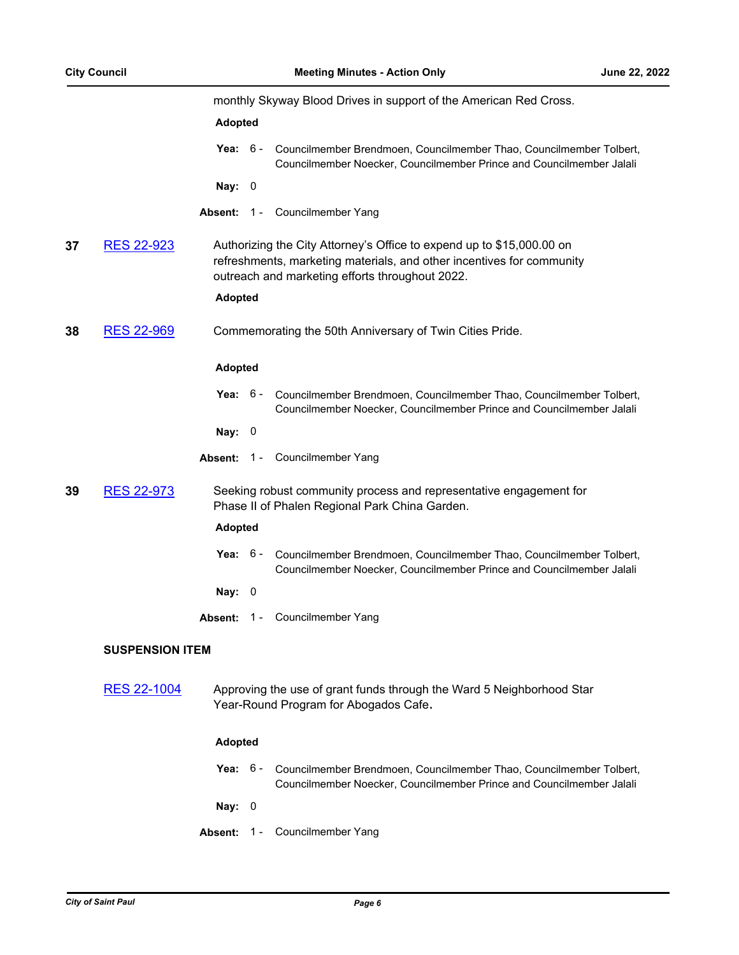|    |                        |                                                                                                                |  | monthly Skyway Blood Drives in support of the American Red Cross.                                                                                                                                 |
|----|------------------------|----------------------------------------------------------------------------------------------------------------|--|---------------------------------------------------------------------------------------------------------------------------------------------------------------------------------------------------|
|    |                        | <b>Adopted</b>                                                                                                 |  |                                                                                                                                                                                                   |
|    |                        | Yea: $6-$                                                                                                      |  | Councilmember Brendmoen, Councilmember Thao, Councilmember Tolbert,<br>Councilmember Noecker, Councilmember Prince and Councilmember Jalali                                                       |
|    |                        | Nay: $0$                                                                                                       |  |                                                                                                                                                                                                   |
|    |                        |                                                                                                                |  | Absent: 1 - Councilmember Yang                                                                                                                                                                    |
| 37 | <b>RES 22-923</b>      |                                                                                                                |  | Authorizing the City Attorney's Office to expend up to \$15,000.00 on<br>refreshments, marketing materials, and other incentives for community<br>outreach and marketing efforts throughout 2022. |
|    |                        | <b>Adopted</b>                                                                                                 |  |                                                                                                                                                                                                   |
| 38 | <b>RES 22-969</b>      |                                                                                                                |  | Commemorating the 50th Anniversary of Twin Cities Pride.                                                                                                                                          |
|    |                        | <b>Adopted</b>                                                                                                 |  |                                                                                                                                                                                                   |
|    |                        | Yea: $6 -$                                                                                                     |  | Councilmember Brendmoen, Councilmember Thao, Councilmember Tolbert,<br>Councilmember Noecker, Councilmember Prince and Councilmember Jalali                                                       |
|    |                        | Nay: $0$                                                                                                       |  |                                                                                                                                                                                                   |
|    |                        |                                                                                                                |  | Absent: 1 - Councilmember Yang                                                                                                                                                                    |
| 39 | <b>RES 22-973</b>      |                                                                                                                |  | Seeking robust community process and representative engagement for<br>Phase II of Phalen Regional Park China Garden.                                                                              |
|    |                        | <b>Adopted</b>                                                                                                 |  |                                                                                                                                                                                                   |
|    |                        | Yea: $6-$                                                                                                      |  | Councilmember Brendmoen, Councilmember Thao, Councilmember Tolbert,<br>Councilmember Noecker, Councilmember Prince and Councilmember Jalali                                                       |
|    |                        | Nay: $0$                                                                                                       |  |                                                                                                                                                                                                   |
|    |                        | Absent:                                                                                                        |  | 1 - Councilmember Yang                                                                                                                                                                            |
|    | <b>SUSPENSION ITEM</b> |                                                                                                                |  |                                                                                                                                                                                                   |
|    | <b>RES 22-1004</b>     | Approving the use of grant funds through the Ward 5 Neighborhood Star<br>Year-Round Program for Abogados Cafe. |  |                                                                                                                                                                                                   |
|    | Adopted                |                                                                                                                |  |                                                                                                                                                                                                   |
|    |                        | Yea: $6 -$                                                                                                     |  | Councilmember Brendmoen, Councilmember Thao, Councilmember Tolbert,<br>Councilmember Noecker, Councilmember Prince and Councilmember Jalali                                                       |
|    |                        | Nay: $0$                                                                                                       |  |                                                                                                                                                                                                   |
|    |                        |                                                                                                                |  | Absent: 1 - Councilmember Yang                                                                                                                                                                    |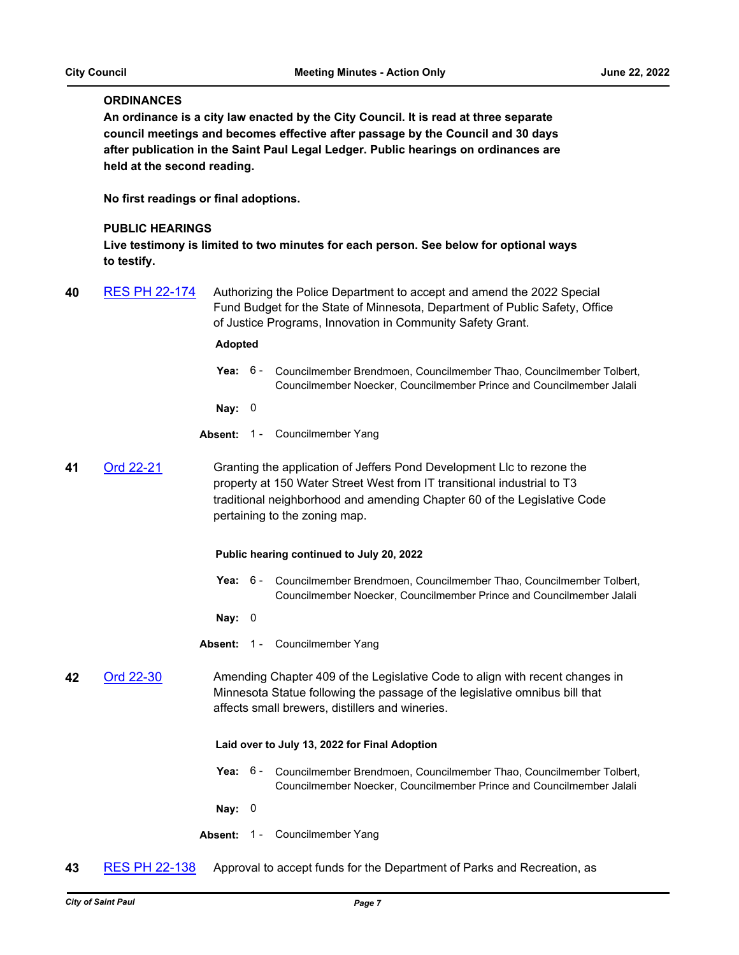## **ORDINANCES**

**An ordinance is a city law enacted by the City Council. It is read at three separate council meetings and becomes effective after passage by the Council and 30 days after publication in the Saint Paul Legal Ledger. Public hearings on ordinances are held at the second reading.**

**No first readings or final adoptions.**

## **PUBLIC HEARINGS**

**Live testimony is limited to two minutes for each person. See below for optional ways to testify.**

**40** [RES PH 22-174](http://stpaul.legistar.com/gateway.aspx?m=l&id=/matter.aspx?key=42069) Authorizing the Police Department to accept and amend the 2022 Special Fund Budget for the State of Minnesota, Department of Public Safety, Office of Justice Programs, Innovation in Community Safety Grant.

#### **Adopted**

Yea: 6 - Councilmember Brendmoen, Councilmember Thao, Councilmember Tolbert, Councilmember Noecker, Councilmember Prince and Councilmember Jalali

**Nay:** 0

- Absent: 1 Councilmember Yang
- **41** [Ord 22-21](http://stpaul.legistar.com/gateway.aspx?m=l&id=/matter.aspx?key=41643) Granting the application of Jeffers Pond Development Llc to rezone the property at 150 Water Street West from IT transitional industrial to T3 traditional neighborhood and amending Chapter 60 of the Legislative Code pertaining to the zoning map.

## **Public hearing continued to July 20, 2022**

- Yea: 6 Councilmember Brendmoen, Councilmember Thao, Councilmember Tolbert, Councilmember Noecker, Councilmember Prince and Councilmember Jalali
- **Nay:** 0
- **Absent:** 1 Councilmember Yang

**42** [Ord 22-30](http://stpaul.legistar.com/gateway.aspx?m=l&id=/matter.aspx?key=42031) Amending Chapter 409 of the Legislative Code to align with recent changes in Minnesota Statue following the passage of the legislative omnibus bill that affects small brewers, distillers and wineries.

## **Laid over to July 13, 2022 for Final Adoption**

Yea: 6 - Councilmember Brendmoen, Councilmember Thao, Councilmember Tolbert, Councilmember Noecker, Councilmember Prince and Councilmember Jalali

**Nay:** 0

- Absent: 1 Councilmember Yang
- **43** [RES PH 22-138](http://stpaul.legistar.com/gateway.aspx?m=l&id=/matter.aspx?key=41828) Approval to accept funds for the Department of Parks and Recreation, as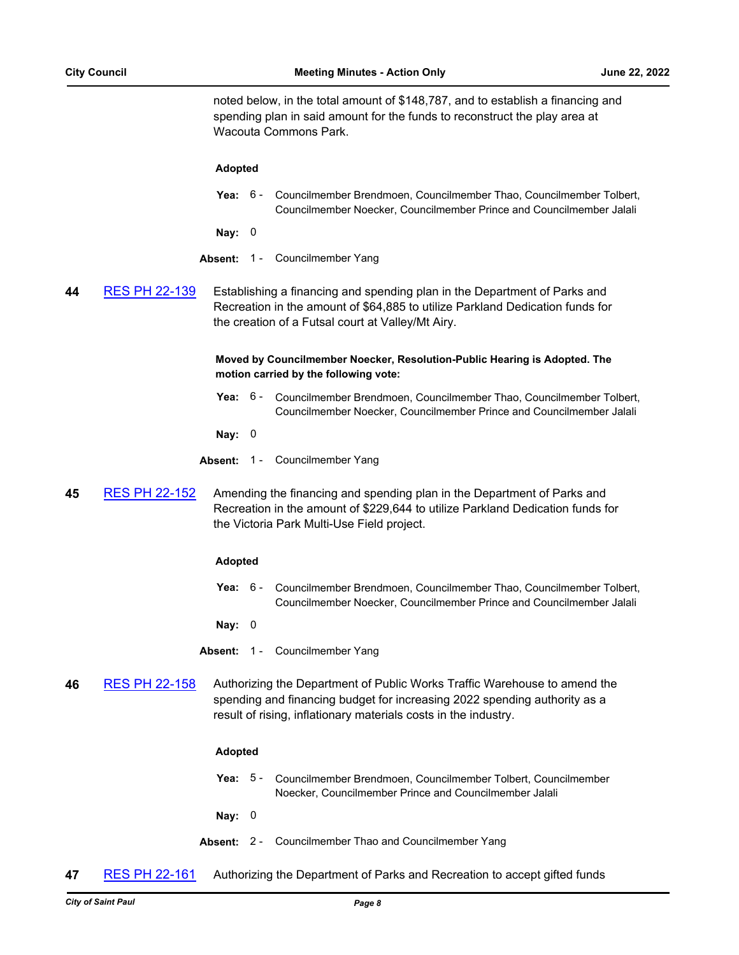noted below, in the total amount of \$148,787, and to establish a financing and spending plan in said amount for the funds to reconstruct the play area at Wacouta Commons Park.

#### **Adopted**

**Yea:** Councilmember Brendmoen, Councilmember Thao, Councilmember Tolbert, Councilmember Noecker, Councilmember Prince and Councilmember Jalali Yea: 6 -

**Nay:** 0

- **Absent:** 1 Councilmember Yang
- **44** [RES PH 22-139](http://stpaul.legistar.com/gateway.aspx?m=l&id=/matter.aspx?key=41830) Establishing a financing and spending plan in the Department of Parks and Recreation in the amount of \$64,885 to utilize Parkland Dedication funds for the creation of a Futsal court at Valley/Mt Airy.

**Moved by Councilmember Noecker, Resolution-Public Hearing is Adopted. The motion carried by the following vote:**

- Yea: 6 Councilmember Brendmoen, Councilmember Thao, Councilmember Tolbert, Councilmember Noecker, Councilmember Prince and Councilmember Jalali
- **Nay:** 0
- **Absent:** 1 Councilmember Yang
- **45** [RES PH 22-152](http://stpaul.legistar.com/gateway.aspx?m=l&id=/matter.aspx?key=41910) Amending the financing and spending plan in the Department of Parks and Recreation in the amount of \$229,644 to utilize Parkland Dedication funds for the Victoria Park Multi-Use Field project.

#### **Adopted**

**Yea:** Councilmember Brendmoen, Councilmember Thao, Councilmember Tolbert, Councilmember Noecker, Councilmember Prince and Councilmember Jalali Yea: 6 -

**Nay:** 0

- **Absent:** 1 Councilmember Yang
- **46** [RES PH 22-158](http://stpaul.legistar.com/gateway.aspx?m=l&id=/matter.aspx?key=41945) Authorizing the Department of Public Works Traffic Warehouse to amend the spending and financing budget for increasing 2022 spending authority as a result of rising, inflationary materials costs in the industry.

## **Adopted**

- **Yea:** Councilmember Brendmoen, Councilmember Tolbert, Councilmember Noecker, Councilmember Prince and Councilmember Jalali Yea: 5 -
- **Nay:** 0
- **Absent:** 2 Councilmember Thao and Councilmember Yang
- **47** [RES PH 22-161](http://stpaul.legistar.com/gateway.aspx?m=l&id=/matter.aspx?key=41961) Authorizing the Department of Parks and Recreation to accept gifted funds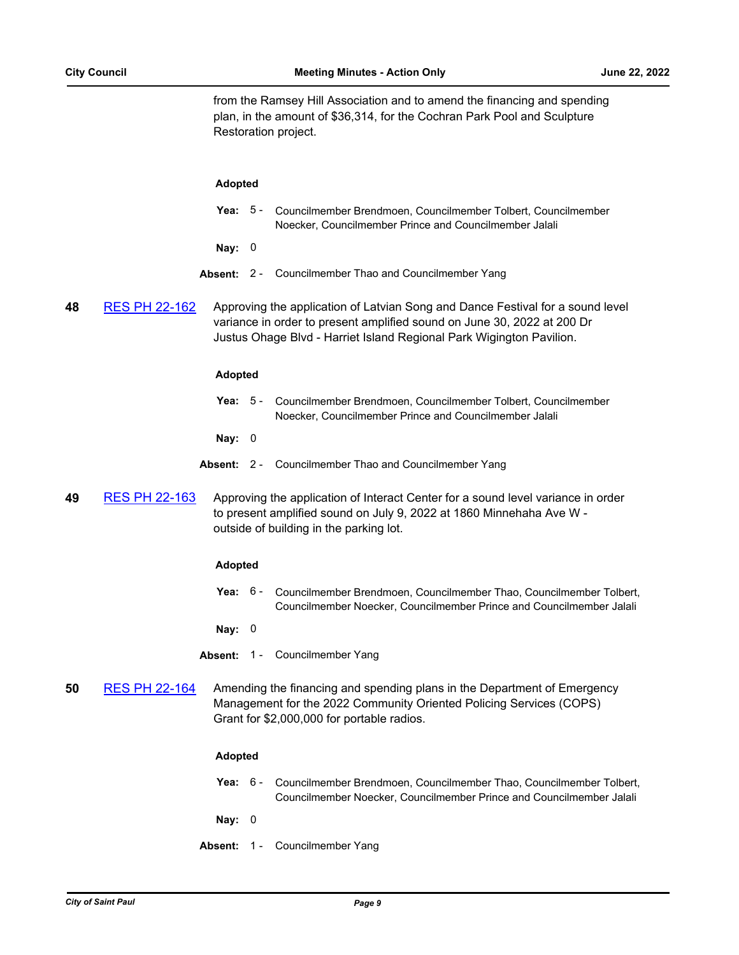from the Ramsey Hill Association and to amend the financing and spending plan, in the amount of \$36,314, for the Cochran Park Pool and Sculpture Restoration project.

#### **Adopted**

- **Yea:** Councilmember Brendmoen, Councilmember Tolbert, Councilmember Noecker, Councilmember Prince and Councilmember Jalali Yea: 5 -
- **Nay:** 0
- **Absent:** 2 Councilmember Thao and Councilmember Yang

**48** [RES PH 22-162](http://stpaul.legistar.com/gateway.aspx?m=l&id=/matter.aspx?key=41971) Approving the application of Latvian Song and Dance Festival for a sound level variance in order to present amplified sound on June 30, 2022 at 200 Dr Justus Ohage Blvd - Harriet Island Regional Park Wigington Pavilion.

#### **Adopted**

- **Yea:** Councilmember Brendmoen, Councilmember Tolbert, Councilmember Noecker, Councilmember Prince and Councilmember Jalali Yea:  $5 -$
- **Nay:** 0
- **Absent:** 2 Councilmember Thao and Councilmember Yang
- **49** [RES PH 22-163](http://stpaul.legistar.com/gateway.aspx?m=l&id=/matter.aspx?key=41986) Approving the application of Interact Center for a sound level variance in order to present amplified sound on July 9, 2022 at 1860 Minnehaha Ave W outside of building in the parking lot.

#### **Adopted**

**Yea:** Councilmember Brendmoen, Councilmember Thao, Councilmember Tolbert, Councilmember Noecker, Councilmember Prince and Councilmember Jalali Yea:  $6 -$ 

**Nay:** 0

- **Absent:** 1 Councilmember Yang
- **50** [RES PH 22-164](http://stpaul.legistar.com/gateway.aspx?m=l&id=/matter.aspx?key=41988) Amending the financing and spending plans in the Department of Emergency Management for the 2022 Community Oriented Policing Services (COPS) Grant for \$2,000,000 for portable radios.

#### **Adopted**

**Yea:** Councilmember Brendmoen, Councilmember Thao, Councilmember Tolbert, Councilmember Noecker, Councilmember Prince and Councilmember Jalali Yea:  $6 -$ 

**Nay:** 0

**Absent:** 1 - Councilmember Yang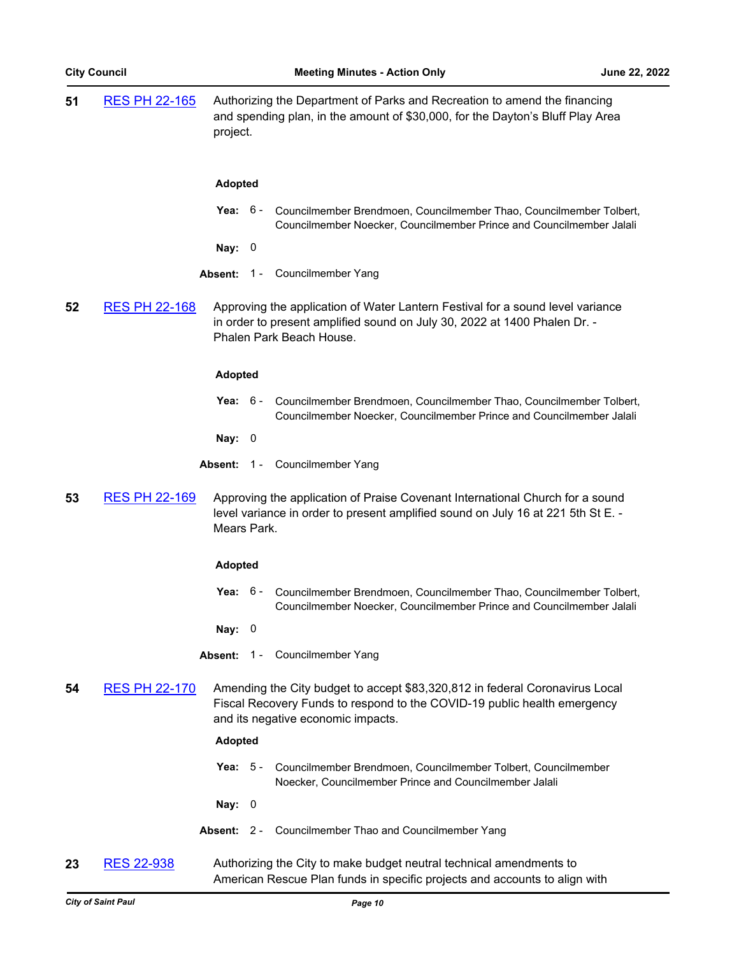| 51 | <b>RES PH 22-165</b> | project.       | Authorizing the Department of Parks and Recreation to amend the financing<br>and spending plan, in the amount of \$30,000, for the Dayton's Bluff Play Area                                    |
|----|----------------------|----------------|------------------------------------------------------------------------------------------------------------------------------------------------------------------------------------------------|
|    |                      | <b>Adopted</b> |                                                                                                                                                                                                |
|    |                      | Yea: $6 -$     | Councilmember Brendmoen, Councilmember Thao, Councilmember Tolbert,<br>Councilmember Noecker, Councilmember Prince and Councilmember Jalali                                                    |
|    |                      | Nay: $0$       |                                                                                                                                                                                                |
|    |                      | Absent: 1 -    | Councilmember Yang                                                                                                                                                                             |
| 52 | <b>RES PH 22-168</b> |                | Approving the application of Water Lantern Festival for a sound level variance<br>in order to present amplified sound on July 30, 2022 at 1400 Phalen Dr. -<br>Phalen Park Beach House.        |
|    |                      | <b>Adopted</b> |                                                                                                                                                                                                |
|    |                      | Yea: 6 -       | Councilmember Brendmoen, Councilmember Thao, Councilmember Tolbert,<br>Councilmember Noecker, Councilmember Prince and Councilmember Jalali                                                    |
|    |                      | Nay: $0$       |                                                                                                                                                                                                |
|    |                      |                | Absent: 1 - Councilmember Yang                                                                                                                                                                 |
| 53 | <b>RES PH 22-169</b> | Mears Park.    | Approving the application of Praise Covenant International Church for a sound<br>level variance in order to present amplified sound on July 16 at 221 5th St E. -                              |
|    |                      | <b>Adopted</b> |                                                                                                                                                                                                |
|    |                      | Yea: 6 -       | Councilmember Brendmoen, Councilmember Thao, Councilmember Tolbert,<br>Councilmember Noecker, Councilmember Prince and Councilmember Jalali                                                    |
|    |                      | Nay: $0$       |                                                                                                                                                                                                |
|    |                      |                | Absent: 1 - Councilmember Yang                                                                                                                                                                 |
| 54 | <b>RES PH 22-170</b> |                | Amending the City budget to accept \$83,320,812 in federal Coronavirus Local<br>Fiscal Recovery Funds to respond to the COVID-19 public health emergency<br>and its negative economic impacts. |
|    |                      | <b>Adopted</b> |                                                                                                                                                                                                |
|    |                      | Yea: $5 -$     | Councilmember Brendmoen, Councilmember Tolbert, Councilmember<br>Noecker, Councilmember Prince and Councilmember Jalali                                                                        |
|    |                      | Nay: 0         |                                                                                                                                                                                                |
|    |                      |                | Absent: 2 - Councilmember Thao and Councilmember Yang                                                                                                                                          |
| 23 | <b>RES 22-938</b>    |                | Authorizing the City to make budget neutral technical amendments to<br>American Rescue Plan funds in specific projects and accounts to align with                                              |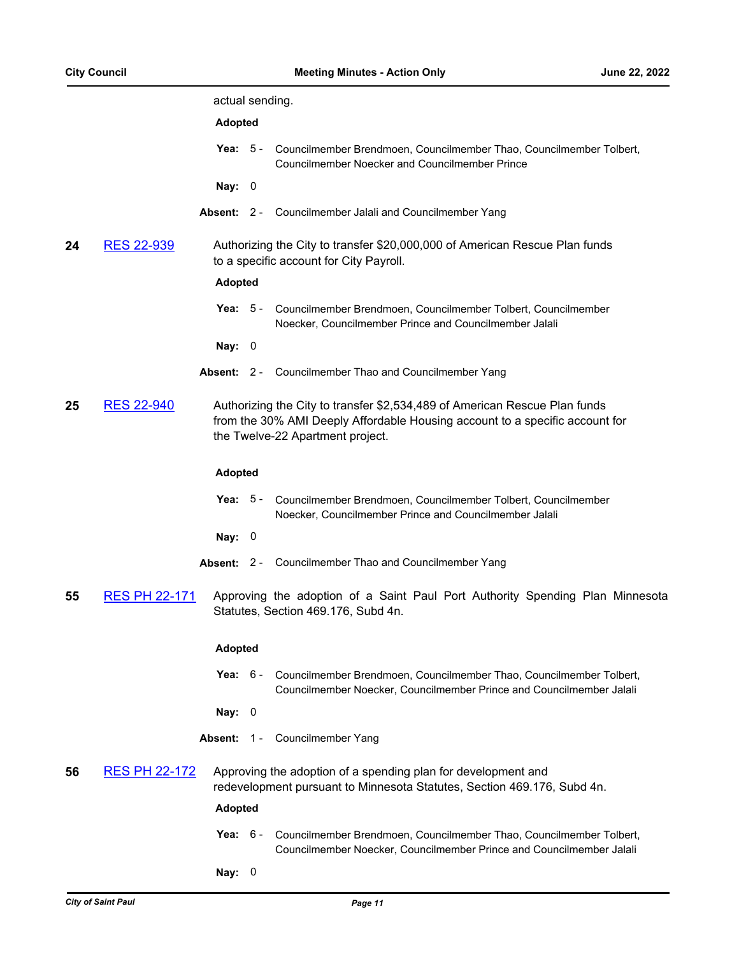|    |                      | actual sending. |                                                                                                                                                                                                |
|----|----------------------|-----------------|------------------------------------------------------------------------------------------------------------------------------------------------------------------------------------------------|
|    |                      | <b>Adopted</b>  |                                                                                                                                                                                                |
|    |                      | Yea: $5 -$      | Councilmember Brendmoen, Councilmember Thao, Councilmember Tolbert,<br><b>Councilmember Noecker and Councilmember Prince</b>                                                                   |
|    |                      | Nay: $0$        |                                                                                                                                                                                                |
|    |                      |                 | Absent: 2 - Councilmember Jalali and Councilmember Yang                                                                                                                                        |
| 24 | <b>RES 22-939</b>    |                 | Authorizing the City to transfer \$20,000,000 of American Rescue Plan funds<br>to a specific account for City Payroll.                                                                         |
|    |                      | <b>Adopted</b>  |                                                                                                                                                                                                |
|    |                      | Yea: $5 -$      | Councilmember Brendmoen, Councilmember Tolbert, Councilmember<br>Noecker, Councilmember Prince and Councilmember Jalali                                                                        |
|    |                      | Nay: $0$        |                                                                                                                                                                                                |
|    |                      |                 | Absent: 2 - Councilmember Thao and Councilmember Yang                                                                                                                                          |
| 25 | <b>RES 22-940</b>    |                 | Authorizing the City to transfer \$2,534,489 of American Rescue Plan funds<br>from the 30% AMI Deeply Affordable Housing account to a specific account for<br>the Twelve-22 Apartment project. |
|    |                      | <b>Adopted</b>  |                                                                                                                                                                                                |
|    |                      | Yea: $5 -$      | Councilmember Brendmoen, Councilmember Tolbert, Councilmember<br>Noecker, Councilmember Prince and Councilmember Jalali                                                                        |
|    |                      | Nay: $0$        |                                                                                                                                                                                                |
|    |                      |                 | Absent: 2 - Councilmember Thao and Councilmember Yang                                                                                                                                          |
| 55 | <b>RES PH 22-171</b> |                 | Approving the adoption of a Saint Paul Port Authority Spending Plan Minnesota<br>Statutes, Section 469.176, Subd 4n.                                                                           |
|    |                      | <b>Adopted</b>  |                                                                                                                                                                                                |
|    |                      | Yea: $6 -$      | Councilmember Brendmoen, Councilmember Thao, Councilmember Tolbert,<br>Councilmember Noecker, Councilmember Prince and Councilmember Jalali                                                    |
|    |                      | Nay: $0$        |                                                                                                                                                                                                |
|    |                      |                 | Absent: 1 - Councilmember Yang                                                                                                                                                                 |
| 56 | <b>RES PH 22-172</b> |                 | Approving the adoption of a spending plan for development and<br>redevelopment pursuant to Minnesota Statutes, Section 469.176, Subd 4n.                                                       |
|    |                      | <b>Adopted</b>  |                                                                                                                                                                                                |
|    |                      | Yea: $6 -$      | Councilmember Brendmoen, Councilmember Thao, Councilmember Tolbert,<br>Councilmember Noecker, Councilmember Prince and Councilmember Jalali                                                    |
|    |                      | Nay: 0          |                                                                                                                                                                                                |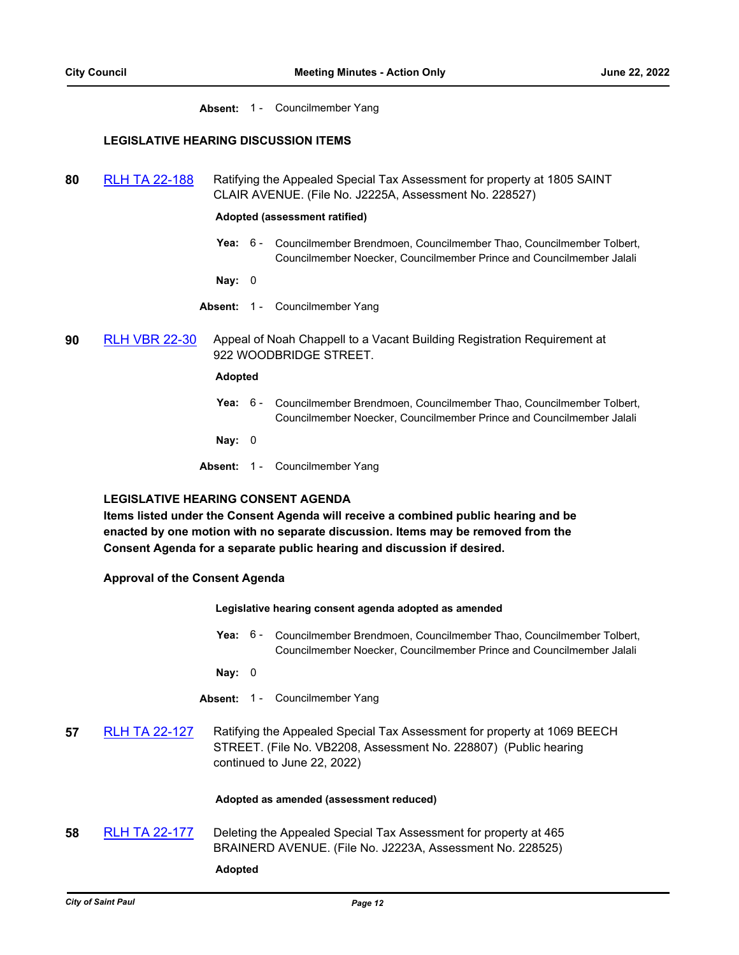Absent: 1 - Councilmember Yang

## **LEGISLATIVE HEARING DISCUSSION ITEMS**

**80** [RLH TA 22-188](http://stpaul.legistar.com/gateway.aspx?m=l&id=/matter.aspx?key=41794) Ratifying the Appealed Special Tax Assessment for property at 1805 SAINT CLAIR AVENUE. (File No. J2225A, Assessment No. 228527)

#### **Adopted (assessment ratified)**

- Yea: 6 Councilmember Brendmoen, Councilmember Thao, Councilmember Tolbert, Councilmember Noecker, Councilmember Prince and Councilmember Jalali
- **Nay:** 0
- Absent: 1 Councilmember Yang
- **90** [RLH VBR 22-30](http://stpaul.legistar.com/gateway.aspx?m=l&id=/matter.aspx?key=41966) Appeal of Noah Chappell to a Vacant Building Registration Requirement at 922 WOODBRIDGE STREET.

## **Adopted**

**Yea:** Councilmember Brendmoen, Councilmember Thao, Councilmember Tolbert, Councilmember Noecker, Councilmember Prince and Councilmember Jalali Yea: 6 -

**Nay:** 0

**Absent:** 1 - Councilmember Yang

# **LEGISLATIVE HEARING CONSENT AGENDA**

**Items listed under the Consent Agenda will receive a combined public hearing and be enacted by one motion with no separate discussion. Items may be removed from the Consent Agenda for a separate public hearing and discussion if desired.**

**Approval of the Consent Agenda**

#### **Legislative hearing consent agenda adopted as amended**

Yea: 6 - Councilmember Brendmoen, Councilmember Thao, Councilmember Tolbert, Councilmember Noecker, Councilmember Prince and Councilmember Jalali

**Nay:** 0

**Absent:** 1 - Councilmember Yang

**57** [RLH TA 22-127](http://stpaul.legistar.com/gateway.aspx?m=l&id=/matter.aspx?key=41524) Ratifying the Appealed Special Tax Assessment for property at 1069 BEECH STREET. (File No. VB2208, Assessment No. 228807) (Public hearing continued to June 22, 2022)

## **Adopted as amended (assessment reduced)**

**58** [RLH TA 22-177](http://stpaul.legistar.com/gateway.aspx?m=l&id=/matter.aspx?key=41744) Deleting the Appealed Special Tax Assessment for property at 465 BRAINERD AVENUE. (File No. J2223A, Assessment No. 228525)

## **Adopted**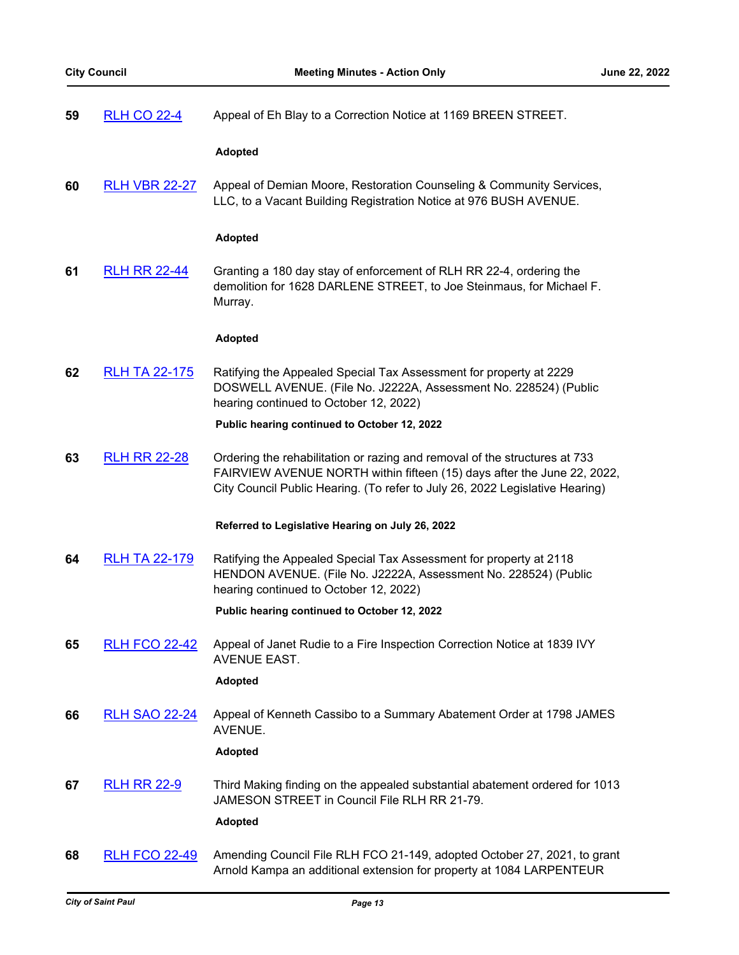| 59 RLH CO 22-4 | Appeal of Eh Blay to a Correction Notice at 1169 BREEN STREET. |
|----------------|----------------------------------------------------------------|
|                |                                                                |

# **Adopted**

**60** [RLH VBR 22-27](http://stpaul.legistar.com/gateway.aspx?m=l&id=/matter.aspx?key=41915) Appeal of Demian Moore, Restoration Counseling & Community Services, LLC, to a Vacant Building Registration Notice at 976 BUSH AVENUE.

#### **Adopted**

**61** [RLH RR 22-44](http://stpaul.legistar.com/gateway.aspx?m=l&id=/matter.aspx?key=42068) Granting a 180 day stay of enforcement of RLH RR 22-4, ordering the demolition for 1628 DARLENE STREET, to Joe Steinmaus, for Michael F. Murray.

#### **Adopted**

**62** [RLH TA 22-175](http://stpaul.legistar.com/gateway.aspx?m=l&id=/matter.aspx?key=41742) Ratifying the Appealed Special Tax Assessment for property at 2229 DOSWELL AVENUE. (File No. J2222A, Assessment No. 228524) (Public hearing continued to October 12, 2022)

#### **Public hearing continued to October 12, 2022**

**63** [RLH RR 22-28](http://stpaul.legistar.com/gateway.aspx?m=l&id=/matter.aspx?key=41707) Ordering the rehabilitation or razing and removal of the structures at 733 FAIRVIEW AVENUE NORTH within fifteen (15) days after the June 22, 2022, City Council Public Hearing. (To refer to July 26, 2022 Legislative Hearing)

#### **Referred to Legislative Hearing on July 26, 2022**

**64** [RLH TA 22-179](http://stpaul.legistar.com/gateway.aspx?m=l&id=/matter.aspx?key=41748) Ratifying the Appealed Special Tax Assessment for property at 2118 HENDON AVENUE. (File No. J2222A, Assessment No. 228524) (Public hearing continued to October 12, 2022)

**Public hearing continued to October 12, 2022**

**65** [RLH FCO 22-42](http://stpaul.legistar.com/gateway.aspx?m=l&id=/matter.aspx?key=41925) Appeal of Janet Rudie to a Fire Inspection Correction Notice at 1839 IVY AVENUE EAST.

#### **Adopted**

**66** [RLH SAO 22-24](http://stpaul.legistar.com/gateway.aspx?m=l&id=/matter.aspx?key=41950) Appeal of Kenneth Cassibo to a Summary Abatement Order at 1798 JAMES AVENUE.

## **Adopted**

**67** [RLH RR 22-9](http://stpaul.legistar.com/gateway.aspx?m=l&id=/matter.aspx?key=41142) Third Making finding on the appealed substantial abatement ordered for 1013 JAMESON STREET in Council File RLH RR 21-79.

#### **Adopted**

**68** [RLH FCO 22-49](http://stpaul.legistar.com/gateway.aspx?m=l&id=/matter.aspx?key=42049) Amending Council File RLH FCO 21-149, adopted October 27, 2021, to grant Arnold Kampa an additional extension for property at 1084 LARPENTEUR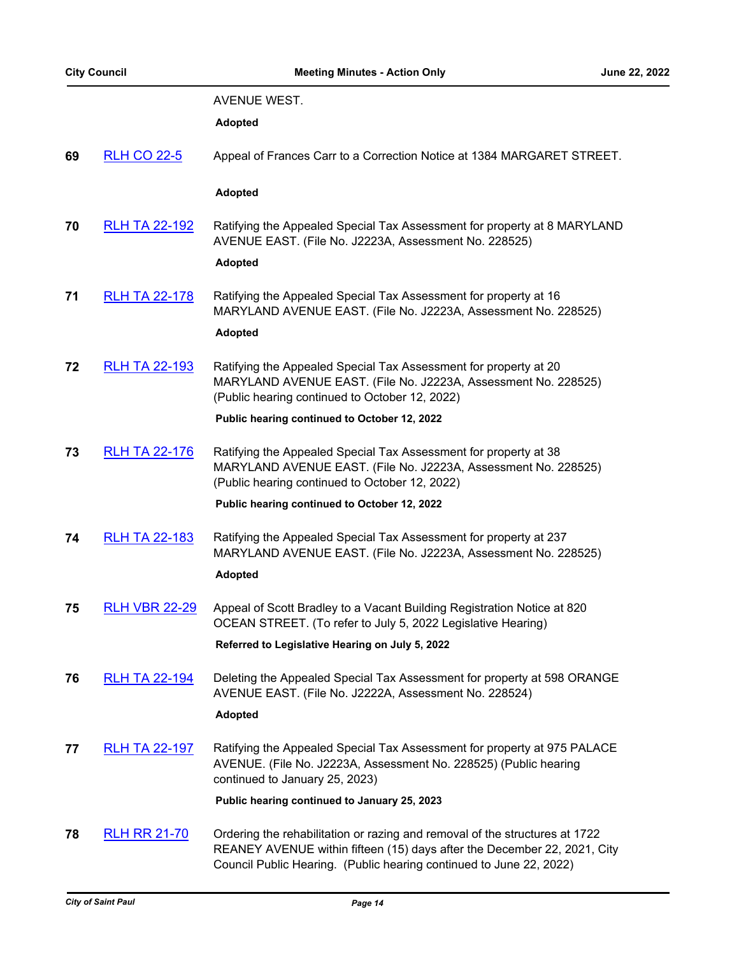## AVENUE WEST.

**Adopted**

**69** [RLH CO 22-5](http://stpaul.legistar.com/gateway.aspx?m=l&id=/matter.aspx?key=41947) Appeal of Frances Carr to a Correction Notice at 1384 MARGARET STREET.

## **Adopted**

**70** [RLH TA 22-192](http://stpaul.legistar.com/gateway.aspx?m=l&id=/matter.aspx?key=41820) Ratifying the Appealed Special Tax Assessment for property at 8 MARYLAND AVENUE EAST. (File No. J2223A, Assessment No. 228525)

## **Adopted**

**71** [RLH TA 22-178](http://stpaul.legistar.com/gateway.aspx?m=l&id=/matter.aspx?key=41745) Ratifying the Appealed Special Tax Assessment for property at 16 MARYLAND AVENUE EAST. (File No. J2223A, Assessment No. 228525)

# **Adopted**

**72** [RLH TA 22-193](http://stpaul.legistar.com/gateway.aspx?m=l&id=/matter.aspx?key=41834) Ratifying the Appealed Special Tax Assessment for property at 20 MARYLAND AVENUE EAST. (File No. J2223A, Assessment No. 228525) (Public hearing continued to October 12, 2022)

## **Public hearing continued to October 12, 2022**

**73** [RLH TA 22-176](http://stpaul.legistar.com/gateway.aspx?m=l&id=/matter.aspx?key=41743) Ratifying the Appealed Special Tax Assessment for property at 38 MARYLAND AVENUE EAST. (File No. J2223A, Assessment No. 228525) (Public hearing continued to October 12, 2022)

## **Public hearing continued to October 12, 2022**

**74** [RLH TA 22-183](http://stpaul.legistar.com/gateway.aspx?m=l&id=/matter.aspx?key=41766) Ratifying the Appealed Special Tax Assessment for property at 237 MARYLAND AVENUE EAST. (File No. J2223A, Assessment No. 228525)

# **Adopted**

**75** [RLH VBR 22-29](http://stpaul.legistar.com/gateway.aspx?m=l&id=/matter.aspx?key=41960) Appeal of Scott Bradley to a Vacant Building Registration Notice at 820 OCEAN STREET. (To refer to July 5, 2022 Legislative Hearing)

**Referred to Legislative Hearing on July 5, 2022**

**76** [RLH TA 22-194](http://stpaul.legistar.com/gateway.aspx?m=l&id=/matter.aspx?key=41835) Deleting the Appealed Special Tax Assessment for property at 598 ORANGE AVENUE EAST. (File No. J2222A, Assessment No. 228524)

## **Adopted**

**77** [RLH TA 22-197](http://stpaul.legistar.com/gateway.aspx?m=l&id=/matter.aspx?key=41871) Ratifying the Appealed Special Tax Assessment for property at 975 PALACE AVENUE. (File No. J2223A, Assessment No. 228525) (Public hearing continued to January 25, 2023)

**Public hearing continued to January 25, 2023**

**78** [RLH RR 21-70](http://stpaul.legistar.com/gateway.aspx?m=l&id=/matter.aspx?key=40478) Ordering the rehabilitation or razing and removal of the structures at 1722 REANEY AVENUE within fifteen (15) days after the December 22, 2021, City Council Public Hearing. (Public hearing continued to June 22, 2022)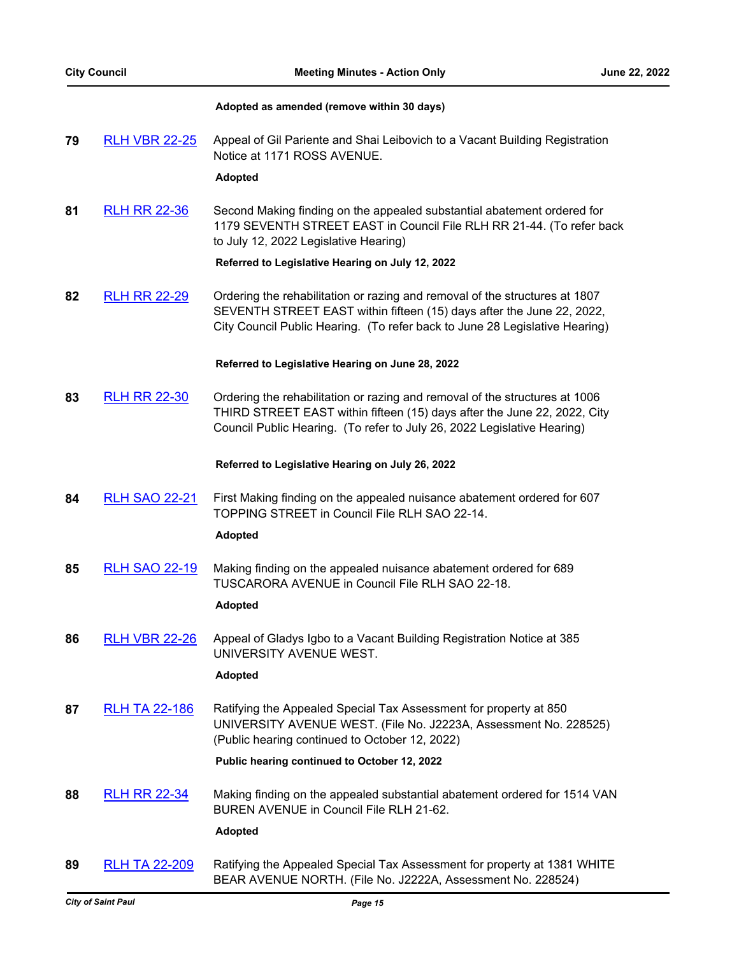#### **Adopted as amended (remove within 30 days)**

**79** [RLH VBR 22-25](http://stpaul.legistar.com/gateway.aspx?m=l&id=/matter.aspx?key=41846) Appeal of Gil Pariente and Shai Leibovich to a Vacant Building Registration Notice at 1171 ROSS AVENUE.

## **Adopted**

**81** [RLH RR 22-36](http://stpaul.legistar.com/gateway.aspx?m=l&id=/matter.aspx?key=41891) Second Making finding on the appealed substantial abatement ordered for 1179 SEVENTH STREET EAST in Council File RLH RR 21-44. (To refer back to July 12, 2022 Legislative Hearing)

#### **Referred to Legislative Hearing on July 12, 2022**

**82** [RLH RR 22-29](http://stpaul.legistar.com/gateway.aspx?m=l&id=/matter.aspx?key=41708) Ordering the rehabilitation or razing and removal of the structures at 1807 SEVENTH STREET EAST within fifteen (15) days after the June 22, 2022, City Council Public Hearing. (To refer back to June 28 Legislative Hearing)

#### **Referred to Legislative Hearing on June 28, 2022**

**83** [RLH RR 22-30](http://stpaul.legistar.com/gateway.aspx?m=l&id=/matter.aspx?key=41709) Ordering the rehabilitation or razing and removal of the structures at 1006 THIRD STREET EAST within fifteen (15) days after the June 22, 2022, City Council Public Hearing. (To refer to July 26, 2022 Legislative Hearing)

#### **Referred to Legislative Hearing on July 26, 2022**

**84** [RLH SAO 22-21](http://stpaul.legistar.com/gateway.aspx?m=l&id=/matter.aspx?key=41866) First Making finding on the appealed nuisance abatement ordered for 607 TOPPING STREET in Council File RLH SAO 22-14.

## **Adopted**

**85** [RLH SAO 22-19](http://stpaul.legistar.com/gateway.aspx?m=l&id=/matter.aspx?key=41864) Making finding on the appealed nuisance abatement ordered for 689 TUSCARORA AVENUE in Council File RLH SAO 22-18.

## **Adopted**

**86** [RLH VBR 22-26](http://stpaul.legistar.com/gateway.aspx?m=l&id=/matter.aspx?key=41862) Appeal of Gladys Igbo to a Vacant Building Registration Notice at 385 UNIVERSITY AVENUE WEST.

#### **Adopted**

**87** [RLH TA 22-186](http://stpaul.legistar.com/gateway.aspx?m=l&id=/matter.aspx?key=41772) Ratifying the Appealed Special Tax Assessment for property at 850 UNIVERSITY AVENUE WEST. (File No. J2223A, Assessment No. 228525) (Public hearing continued to October 12, 2022)

**Public hearing continued to October 12, 2022**

**88** [RLH RR 22-34](http://stpaul.legistar.com/gateway.aspx?m=l&id=/matter.aspx?key=41872) Making finding on the appealed substantial abatement ordered for 1514 VAN BUREN AVENUE in Council File RLH 21-62.

## **Adopted**

**89** [RLH TA 22-209](http://stpaul.legistar.com/gateway.aspx?m=l&id=/matter.aspx?key=41954) Ratifying the Appealed Special Tax Assessment for property at 1381 WHITE BEAR AVENUE NORTH. (File No. J2222A, Assessment No. 228524)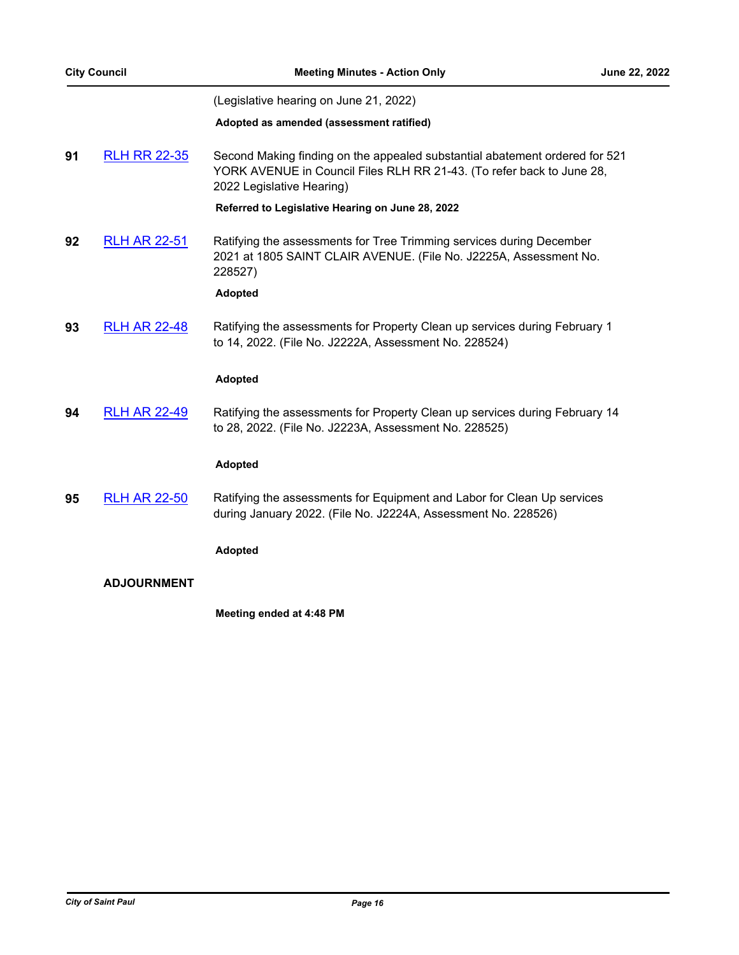(Legislative hearing on June 21, 2022)

#### **Adopted as amended (assessment ratified)**

**91** [RLH RR 22-35](http://stpaul.legistar.com/gateway.aspx?m=l&id=/matter.aspx?key=41874) Second Making finding on the appealed substantial abatement ordered for 521 YORK AVENUE in Council Files RLH RR 21-43. (To refer back to June 28, 2022 Legislative Hearing)

#### **Referred to Legislative Hearing on June 28, 2022**

**92** [RLH AR 22-51](http://stpaul.legistar.com/gateway.aspx?m=l&id=/matter.aspx?key=41725) Ratifying the assessments for Tree Trimming services during December 2021 at 1805 SAINT CLAIR AVENUE. (File No. J2225A, Assessment No. 228527)

## **Adopted**

**93** [RLH AR 22-48](http://stpaul.legistar.com/gateway.aspx?m=l&id=/matter.aspx?key=41722) Ratifying the assessments for Property Clean up services during February 1 to 14, 2022. (File No. J2222A, Assessment No. 228524)

## **Adopted**

**94** [RLH AR 22-49](http://stpaul.legistar.com/gateway.aspx?m=l&id=/matter.aspx?key=41723) Ratifying the assessments for Property Clean up services during February 14 to 28, 2022. (File No. J2223A, Assessment No. 228525)

#### **Adopted**

**95** [RLH AR 22-50](http://stpaul.legistar.com/gateway.aspx?m=l&id=/matter.aspx?key=41724) Ratifying the assessments for Equipment and Labor for Clean Up services during January 2022. (File No. J2224A, Assessment No. 228526)

## **Adopted**

## **ADJOURNMENT**

**Meeting ended at 4:48 PM**